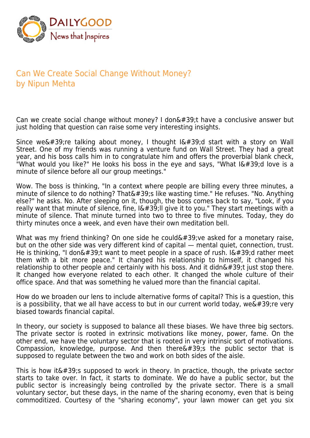

## Can We Create Social Change Without Money? by Nipun Mehta

Can we create social change without money? I don $'$ ;t have a conclusive answer but just holding that question can raise some very interesting insights.

Since we're talking about money, I thought  $I\'$ ;d start with a story on Wall Street. One of my friends was running a venture fund on Wall Street. They had a great year, and his boss calls him in to congratulate him and offers the proverbial blank check, "What would you like?" He looks his boss in the eye and says, "What  $I\'$ ;d love is a minute of silence before all our group meetings."

Wow. The boss is thinking, "In a context where people are billing every three minutes, a minute of silence to do nothing? That&#39:s like wasting time." He refuses. "No. Anything else?" he asks. No. After sleeping on it, though, the boss comes back to say, "Look, if you really want that minute of silence, fine,  $\frac{16439}{100}$  give it to you." They start meetings with a minute of silence. That minute turned into two to three to five minutes. Today, they do thirty minutes once a week, and even have their own meditation bell.

What was my friend thinking? On one side he could $\&\#39$ ; ve asked for a monetary raise, but on the other side was very different kind of capital — mental quiet, connection, trust. He is thinking, "I don $\&\#39$ ;t want to meet people in a space of rush. I $&\#39$ ;d rather meet them with a bit more peace." It changed his relationship to himself, it changed his relationship to other people and certainly with his boss. And it didn't just stop there. It changed how everyone related to each other. It changed the whole culture of their office space. And that was something he valued more than the financial capital.

How do we broaden our lens to include alternative forms of capital? This is a question, this is a possibility, that we all have access to but in our current world today, we  $\&\#39$ ; re very biased towards financial capital.

In theory, our society is supposed to balance all these biases. We have three big sectors. The private sector is rooted in extrinsic motivations like money, power, fame. On the other end, we have the voluntary sector that is rooted in very intrinsic sort of motivations. Compassion, knowledge, purpose. And then there $\&\#39$ ; the public sector that is supposed to regulate between the two and work on both sides of the aisle.

This is how it  $\&\#39$ ; supposed to work in theory. In practice, though, the private sector starts to take over. In fact, it starts to dominate. We do have a public sector, but the public sector is increasingly being controlled by the private sector. There is a small voluntary sector, but these days, in the name of the sharing economy, even that is being commoditized. Courtesy of the "sharing economy", your lawn mower can get you six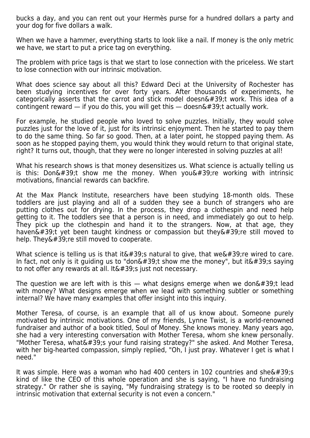bucks a day, and you can rent out your Hermès purse for a hundred dollars a party and your dog for five dollars a walk.

When we have a hammer, everything starts to look like a nail. If money is the only metric we have, we start to put a price tag on everything.

The problem with price tags is that we start to lose connection with the priceless. We start to lose connection with our intrinsic motivation.

What does science say about all this? Edward Deci at the University of Rochester has been studying incentives for over forty years. After thousands of experiments, he categorically asserts that the carrot and stick model doesn $'$ ;t work. This idea of a contingent reward  $-$  if you do this, you will get this  $-$  doesn $\&\#39$ ; t actually work.

For example, he studied people who loved to solve puzzles. Initially, they would solve puzzles just for the love of it, just for its intrinsic enjoyment. Then he started to pay them to do the same thing. So far so good. Then, at a later point, he stopped paying them. As soon as he stopped paying them, you would think they would return to that original state, right? It turns out, though, that they were no longer interested in solving puzzles at all!

What his research shows is that money desensitizes us. What science is actually telling us is this: Don $\&\#39$ ;t show me the money. When you $&\#39$ ; re working with intrinsic motivations, financial rewards can backfire.

At the Max Planck Institute, researchers have been studying 18-month olds. These toddlers are just playing and all of a sudden they see a bunch of strangers who are putting clothes out for drying. In the process, they drop a clothespin and need help getting to it. The toddlers see that a person is in need, and immediately go out to help. They pick up the clothespin and hand it to the strangers. Now, at that age, they haven $\&\#39$ ;t yet been taught kindness or compassion but they $&\#39$ ; re still moved to help. They $\&\#39$ ; re still moved to cooperate.

What science is telling us is that it&#39:s natural to give, that we&#39:re wired to care. In fact, not only is it quiding us to "don $&\&\#39$ ; t show me the money", but it $&\#39$ ; s saying to not offer any rewards at all. It  $\&\#39$ ; just not necessary.

The question we are left with is this  $-$  what designs emerge when we don't lead with money? What designs emerge when we lead with something subtler or something internal? We have many examples that offer insight into this inquiry.

Mother Teresa, of course, is an example that all of us know about. Someone purely motivated by intrinsic motivations. One of my friends, Lynne Twist, is a world-renowned fundraiser and author of a book titled, Soul of Money. She knows money. Many years ago, she had a very interesting conversation with Mother Teresa, whom she knew personally. "Mother Teresa, what's your fund raising strategy?" she asked. And Mother Teresa, with her big-hearted compassion, simply replied, "Oh, I just pray. Whatever I get is what I need."

It was simple. Here was a woman who had 400 centers in 102 countries and she  $\&\#39$ ; s kind of like the CEO of this whole operation and she is saying, "I have no fundraising strategy." Or rather she is saying, "My fundraising strategy is to be rooted so deeply in intrinsic motivation that external security is not even a concern."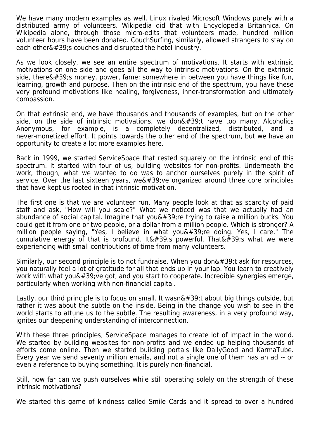We have many modern examples as well. Linux rivaled Microsoft Windows purely with a distributed army of volunteers. Wikipedia did that with Encyclopedia Britannica. On Wikipedia alone, through those micro-edits that volunteers made, hundred million volunteer hours have been donated. CouchSurfing, similarly, allowed strangers to stay on each other $\&\#39$ ; couches and disrupted the hotel industry.

As we look closely, we see an entire spectrum of motivations. It starts with extrinsic motivations on one side and goes all the way to intrinsic motivations. On the extrinsic side, there $'$ ; money, power, fame; somewhere in between you have things like fun, learning, growth and purpose. Then on the intrinsic end of the spectrum, you have these very profound motivations like healing, forgiveness, inner-transformation and ultimately compassion.

On that extrinsic end, we have thousands and thousands of examples, but on the other side, on the side of intrinsic motivations, we don $\&\#39$ ; have too many. Alcoholics Anonymous, for example, is a completely decentralized, distributed, and a never-monetized effort. It points towards the other end of the spectrum, but we have an opportunity to create a lot more examples here.

Back in 1999, we started ServiceSpace that rested squarely on the intrinsic end of this spectrum. It started with four of us, building websites for non-profits. Underneath the work, though, what we wanted to do was to anchor ourselves purely in the spirit of service. Over the last sixteen years, we  $\&\#39$ : ve organized around three core principles that have kept us rooted in that intrinsic motivation.

The first one is that we are volunteer run. Many people look at that as scarcity of paid staff and ask, "How will you scale?" What we noticed was that we actually had an abundance of social capital. Imagine that you $\&\#39$ ; re trying to raise a million bucks. You could get it from one or two people, or a dollar from a million people. Which is stronger? A million people saying, "Yes, I believe in what you  $\&\#39$ ; re doing. Yes, I care." The cumulative energy of that is profound. It  $\&\#39$ ; powerful. That  $\&\#39$ ; what we were experiencing with small contributions of time from many volunteers.

Similarly, our second principle is to not fundraise. When you don $\&\#39$ :t ask for resources, you naturally feel a lot of gratitude for all that ends up in your lap. You learn to creatively work with what you  $\&\#39$ ; ve got, and you start to cooperate. Incredible synergies emerge, particularly when working with non-financial capital.

Lastly, our third principle is to focus on small. It wasn $\&\#39$ ; t about big things outside, but rather it was about the subtle on the inside. Being in the change you wish to see in the world starts to attune us to the subtle. The resulting awareness, in a very profound way, ignites our deepening understanding of interconnection.

With these three principles, ServiceSpace manages to create lot of impact in the world. We started by building websites for non-profits and we ended up helping thousands of efforts come online. Then we started building portals like DailyGood and KarmaTube. Every year we send seventy million emails, and not a single one of them has an ad -- or even a reference to buying something. It is purely non-financial.

Still, how far can we push ourselves while still operating solely on the strength of these intrinsic motivations?

We started this game of kindness called Smile Cards and it spread to over a hundred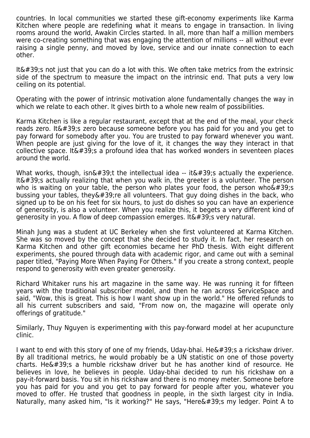countries. In local communities we started these gift-economy experiments like Karma Kitchen where people are redefining what it means to engage in transaction. In living rooms around the world, Awakin Circles started. In all, more than half a million members were co-creating something that was engaging the attention of millions -- all without ever raising a single penny, and moved by love, service and our innate connection to each other.

It $\&\#39$ ; not just that you can do a lot with this. We often take metrics from the extrinsic side of the spectrum to measure the impact on the intrinsic end. That puts a very low ceiling on its potential.

Operating with the power of intrinsic motivation alone fundamentally changes the way in which we relate to each other. It gives birth to a whole new realm of possibilities.

Karma Kitchen is like a regular restaurant, except that at the end of the meal, your check reads zero. It  $\&\#39$ ; zero because someone before you has paid for you and you get to pay forward for somebody after you. You are trusted to pay forward whenever you want. When people are just giving for the love of it, it changes the way they interact in that collective space. It  $\&\#39$ ; a profound idea that has worked wonders in seventeen places around the world.

What works, though,  $\sin\omega$ #39;t the intellectual idea -- it $\omega$ #39;s actually the experience. It $\&\#39$ :s actually realizing that when you walk in, the greeter is a volunteer. The person who is waiting on your table, the person who plates your food, the person who  $\frac{439}{5}$ bussing your tables, they  $\&\#39$ ; re all volunteers. That guy doing dishes in the back, who signed up to be on his feet for six hours, to just do dishes so you can have an experience of generosity, is also a volunteer. When you realize this, it begets a very different kind of generosity in you. A flow of deep compassion emerges. It  $\&\#39$ ; very natural.

Minah Jung was a student at UC Berkeley when she first volunteered at Karma Kitchen. She was so moved by the concept that she decided to study it. In fact, her research on Karma Kitchen and other gift economies became her PhD thesis. With eight different experiments, she poured through data with academic rigor, and came out with a seminal paper titled, "Paying More When Paying For Others." If you create a strong context, people respond to generosity with even greater generosity.

Richard Whitaker runs his art magazine in the same way. He was running it for fifteen years with the traditional subscriber model, and then he ran across ServiceSpace and said, "Wow, this is great. This is how I want show up in the world." He offered refunds to all his current subscribers and said, "From now on, the magazine will operate only offerings of gratitude."

Similarly, Thuy Nguyen is experimenting with this pay-forward model at her acupuncture clinic.

I want to end with this story of one of my friends, Uday-bhai. He $\&\#39$ ; a rickshaw driver. By all traditional metrics, he would probably be a UN statistic on one of those poverty charts. He $&\#39$ ; a humble rickshaw driver but he has another kind of resource. He believes in love, he believes in people. Uday-bhai decided to run his rickshaw on a pay-it-forward basis. You sit in his rickshaw and there is no money meter. Someone before you has paid for you and you get to pay forward for people after you, whatever you moved to offer. He trusted that goodness in people, in the sixth largest city in India. Naturally, many asked him, "Is it working?" He says, "Here's my ledger. Point A to